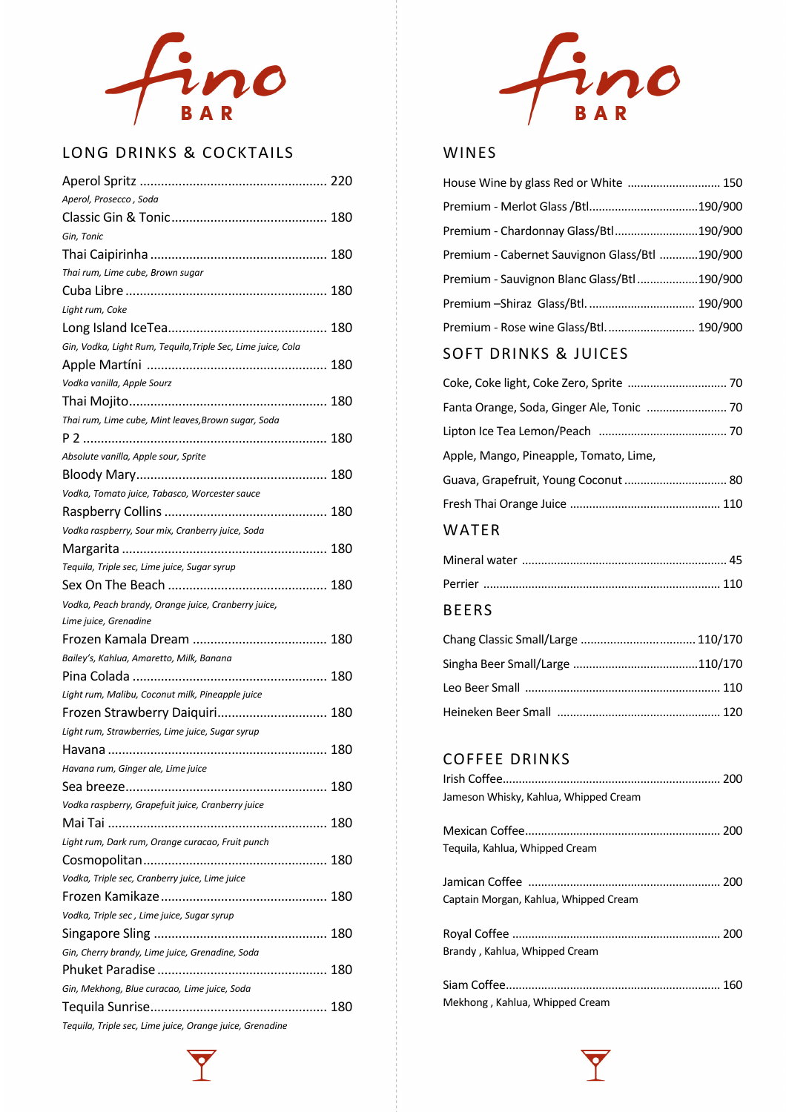

### LONG DRINKS & COCKTAILS

| Aperol, Prosecco , Soda                                      |
|--------------------------------------------------------------|
|                                                              |
| Gin, Tonic                                                   |
|                                                              |
| Thai rum, Lime cube, Brown sugar                             |
|                                                              |
| Light rum, Coke                                              |
|                                                              |
| Gin, Vodka, Light Rum, Tequila, Triple Sec, Lime juice, Cola |
|                                                              |
| Vodka vanilla, Apple Sourz                                   |
|                                                              |
| Thai rum, Lime cube, Mint leaves, Brown sugar, Soda          |
|                                                              |
| Absolute vanilla, Apple sour, Sprite                         |
|                                                              |
| Vodka, Tomato juice, Tabasco, Worcester sauce                |
|                                                              |
| Vodka raspberry, Sour mix, Cranberry juice, Soda             |
|                                                              |
| Tequila, Triple sec, Lime juice, Sugar syrup                 |
|                                                              |
|                                                              |
| Vodka, Peach brandy, Orange juice, Cranberry juice,          |
| Lime juice, Grenadine                                        |
|                                                              |
| Bailey's, Kahlua, Amaretto, Milk, Banana                     |
|                                                              |
| Light rum, Malibu, Coconut milk, Pineapple juice             |
| Frozen Strawberry Daiquiri 180                               |
| Light rum, Strawberries, Lime juice, Sugar syrup             |
|                                                              |
| Havana rum, Ginger ale, Lime juice                           |
|                                                              |
| Vodka raspberry, Grapefuit juice, Cranberry juice            |
|                                                              |
| Light rum, Dark rum, Orange curacao, Fruit punch             |
|                                                              |
| Vodka, Triple sec, Cranberry juice, Lime juice               |
|                                                              |
| Vodka, Triple sec, Lime juice, Sugar syrup                   |
|                                                              |
| Gin, Cherry brandy, Lime juice, Grenadine, Soda              |
|                                                              |
| Gin, Mekhong, Blue curacao, Lime juice, Soda                 |
|                                                              |



#### WINES

| House Wine by glass Red or White  150          |  |
|------------------------------------------------|--|
| Premium - Merlot Glass / Btl190/900            |  |
| Premium - Chardonnay Glass/Btl190/900          |  |
| Premium - Cabernet Sauvignon Glass/Btl 190/900 |  |
| Premium - Sauvignon Blanc Glass/Btl 190/900    |  |
| Premium - Shiraz Glass/Btl.  190/900           |  |
| Premium - Rose wine Glass/Btl 190/900          |  |

## SOFT DRINKS & JUICES

| Coke, Coke light, Coke Zero, Sprite  70 |  |
|-----------------------------------------|--|
|                                         |  |
|                                         |  |
| Apple, Mango, Pineapple, Tomato, Lime,  |  |
| Guava, Grapefruit, Young Coconut  80    |  |
|                                         |  |
|                                         |  |

## WATER

#### BEERS

| Chang Classic Small/Large  110/170 |  |
|------------------------------------|--|
|                                    |  |
|                                    |  |
|                                    |  |

#### COFFEE DRINKS

| Jameson Whisky, Kahlua, Whipped Cream |  |
|---------------------------------------|--|
| Tequila, Kahlua, Whipped Cream        |  |
| Captain Morgan, Kahlua, Whipped Cream |  |
| Brandy, Kahlua, Whipped Cream         |  |
| Mekhong, Kahlua, Whipped Cream        |  |